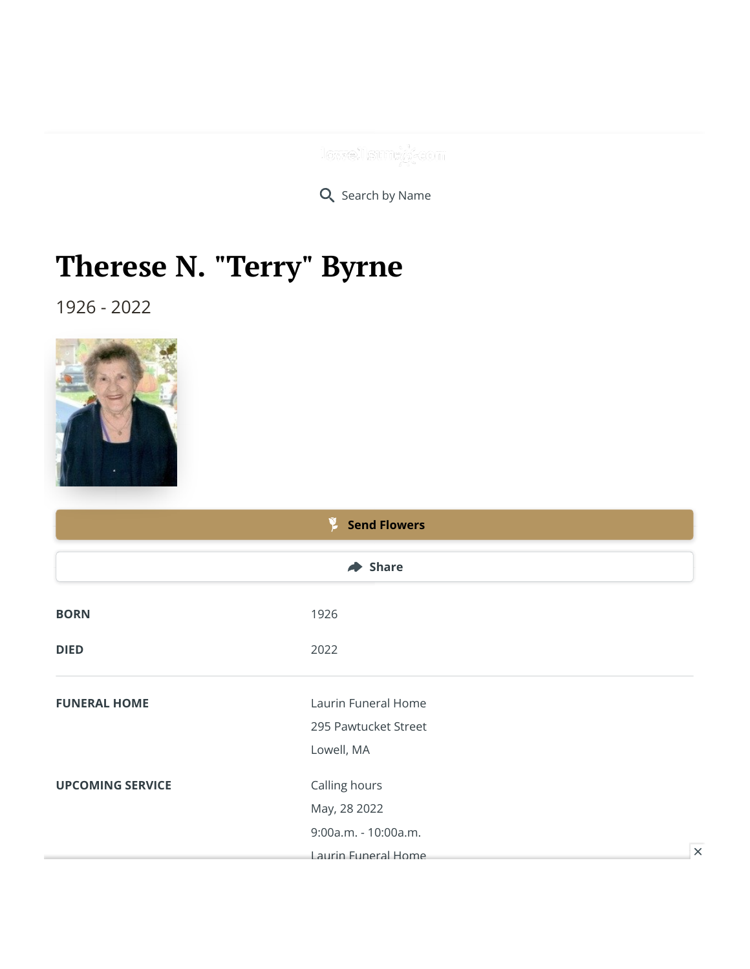lowellsunt//-com

Q Search by Name

## **Therese N. "Terry" Byrne**

1926 - 2022



|                         | <b>Send Flowers</b>         |  |
|-------------------------|-----------------------------|--|
|                         | $\blacktriangleright$ Share |  |
| <b>BORN</b>             | 1926                        |  |
| <b>DIED</b>             | 2022                        |  |
| <b>FUNERAL HOME</b>     | Laurin Funeral Home         |  |
|                         | 295 Pawtucket Street        |  |
|                         | Lowell, MA                  |  |
| <b>UPCOMING SERVICE</b> | Calling hours               |  |
|                         | May, 28 2022                |  |
|                         | 9:00a.m. - 10:00a.m.        |  |
|                         | Laurin Funeral Home         |  |